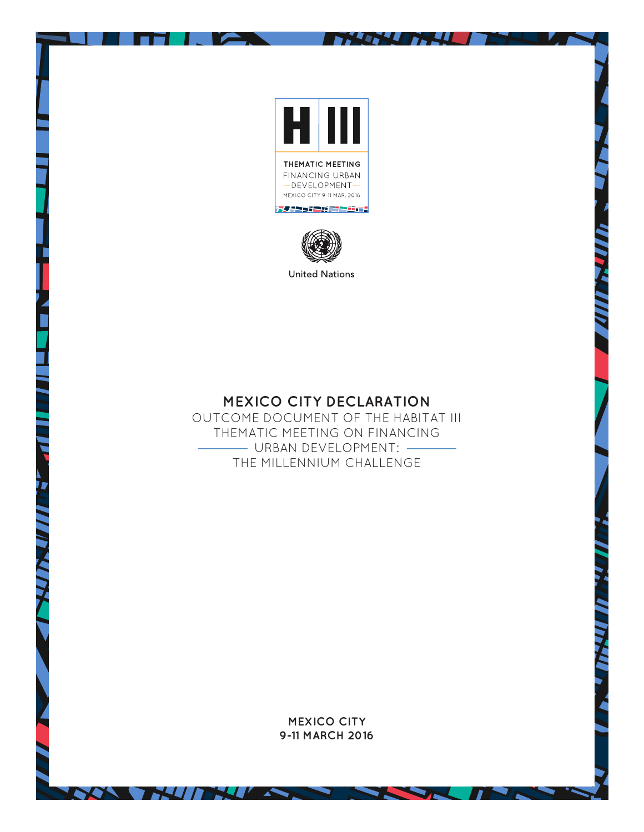

**Artist** 

- 10

D.



**MEXICO CITY DECLARATION** 

OUTCOME DOCUMENT OF THE HABITAT III THEMATIC MEETING ON FINANCING URBAN DEVELOPMENT: THE MILLENNIUM CHALLENGE

> **MEXICO CITY 9-11 MARCH 2016**

> > ۰

**THALL** 

**AND** 

**NATION**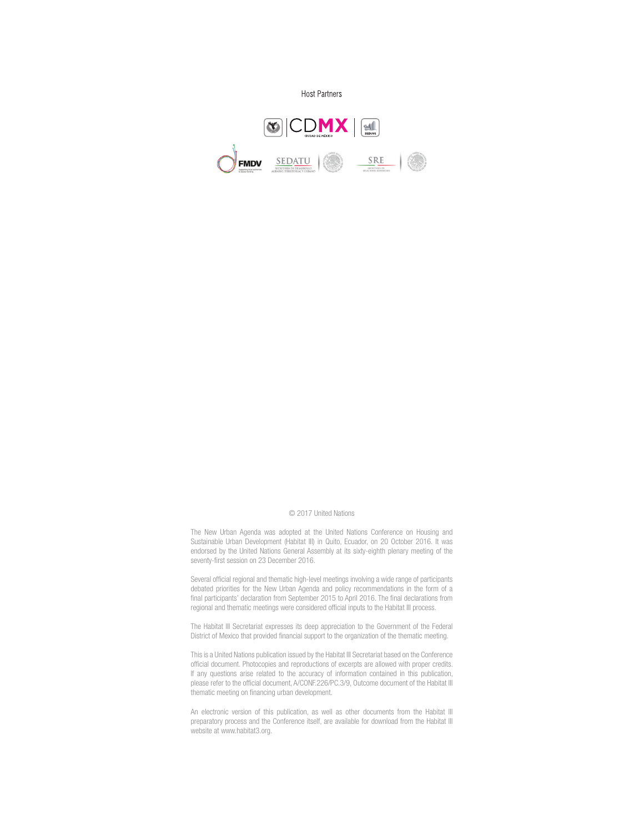

#### © 2017 United Nations

The New Urban Agenda was adopted at the United Nations Conference on Housing and Sustainable Urban Development (Habitat III) in Quito, Ecuador, on 20 October 2016. It was endorsed by the United Nations General Assembly at its sixty-eighth plenary meeting of the seventy-first session on 23 December 2016.

Several official regional and thematic high-level meetings involving a wide range of participants debated priorities for the New Urban Agenda and policy recommendations in the form of a final participants' declaration from September 2015 to April 2016. The final declarations from regional and thematic meetings were considered official inputs to the Habitat III process.

The Habitat III Secretariat expresses its deep appreciation to the Government of the Federal District of Mexico that provided financial support to the organization of the thematic meeting.

This is a United Nations publication issued by the Habitat III Secretariat based on the Conference official document. Photocopies and reproductions of excerpts are allowed with proper credits. If any questions arise related to the accuracy of information contained in this publication, please refer to the official document, A/CONF.226/PC.3/9, Outcome document of the Habitat III thematic meeting on financing urban development.

An electronic version of this publication, as well as other documents from the Habitat III preparatory process and the Conference itself, are available for download from the Habitat III website at www.habitat3.org.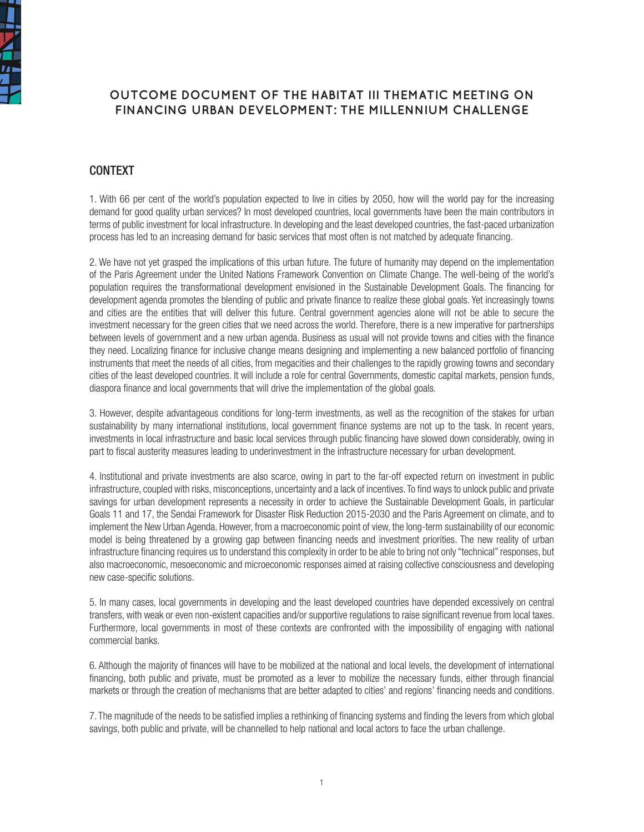

# **OUTCOME DOCUMENT OF THE HABITAT III THEMATIC MEETING ON FINANCING URBAN DEVELOPMENT: THE MILLENNIUM CHALLENGE**

### CONTEXT

1. With 66 per cent of the world's population expected to live in cities by 2050, how will the world pay for the increasing demand for good quality urban services? In most developed countries, local governments have been the main contributors in terms of public investment for local infrastructure. In developing and the least developed countries, the fast-paced urbanization process has led to an increasing demand for basic services that most often is not matched by adequate financing.

2. We have not yet grasped the implications of this urban future. The future of humanity may depend on the implementation of the Paris Agreement under the United Nations Framework Convention on Climate Change. The well-being of the world's population requires the transformational development envisioned in the Sustainable Development Goals. The financing for development agenda promotes the blending of public and private finance to realize these global goals. Yet increasingly towns and cities are the entities that will deliver this future. Central government agencies alone will not be able to secure the investment necessary for the green cities that we need across the world. Therefore, there is a new imperative for partnerships between levels of government and a new urban agenda. Business as usual will not provide towns and cities with the finance they need. Localizing finance for inclusive change means designing and implementing a new balanced portfolio of financing instruments that meet the needs of all cities, from megacities and their challenges to the rapidly growing towns and secondary cities of the least developed countries. It will include a role for central Governments, domestic capital markets, pension funds, diaspora finance and local governments that will drive the implementation of the global goals.

3. However, despite advantageous conditions for long-term investments, as well as the recognition of the stakes for urban sustainability by many international institutions, local government finance systems are not up to the task. In recent years, investments in local infrastructure and basic local services through public financing have slowed down considerably, owing in part to fiscal austerity measures leading to underinvestment in the infrastructure necessary for urban development.

4. Institutional and private investments are also scarce, owing in part to the far-off expected return on investment in public infrastructure, coupled with risks, misconceptions, uncertainty and a lack of incentives. To find ways to unlock public and private savings for urban development represents a necessity in order to achieve the Sustainable Development Goals, in particular Goals 11 and 17, the Sendai Framework for Disaster Risk Reduction 2015-2030 and the Paris Agreement on climate, and to implement the New Urban Agenda. However, from a macroeconomic point of view, the long-term sustainability of our economic model is being threatened by a growing gap between financing needs and investment priorities. The new reality of urban infrastructure financing requires us to understand this complexity in order to be able to bring not only "technical" responses, but also macroeconomic, mesoeconomic and microeconomic responses aimed at raising collective consciousness and developing new case-specific solutions.

5. In many cases, local governments in developing and the least developed countries have depended excessively on central transfers, with weak or even non-existent capacities and/or supportive regulations to raise significant revenue from local taxes. Furthermore, local governments in most of these contexts are confronted with the impossibility of engaging with national commercial banks.

6. Although the majority of finances will have to be mobilized at the national and local levels, the development of international financing, both public and private, must be promoted as a lever to mobilize the necessary funds, either through financial markets or through the creation of mechanisms that are better adapted to cities' and regions' financing needs and conditions.

7. The magnitude of the needs to be satisfied implies a rethinking of financing systems and finding the levers from which global savings, both public and private, will be channelled to help national and local actors to face the urban challenge.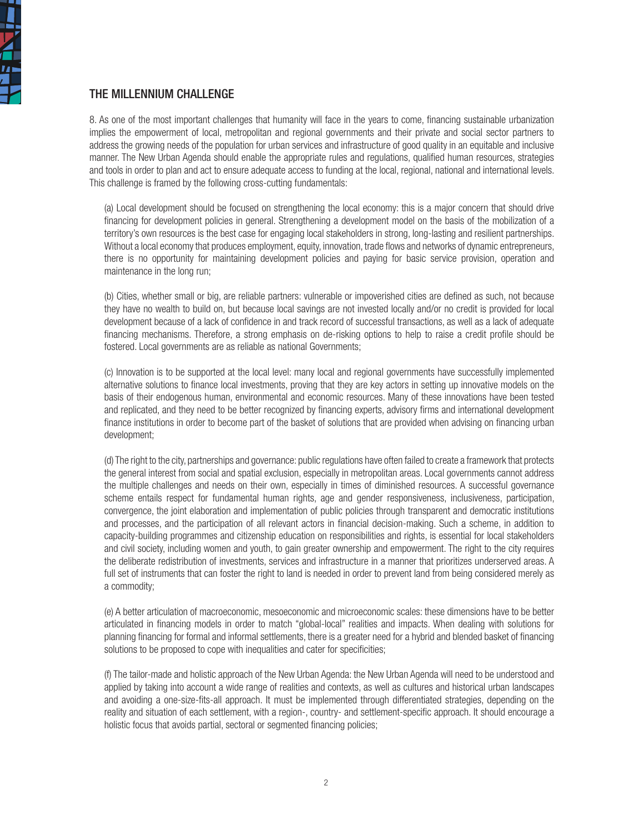

## THE MILLENNIUM CHALLENGE

8. As one of the most important challenges that humanity will face in the years to come, financing sustainable urbanization implies the empowerment of local, metropolitan and regional governments and their private and social sector partners to address the growing needs of the population for urban services and infrastructure of good quality in an equitable and inclusive manner. The New Urban Agenda should enable the appropriate rules and regulations, qualified human resources, strategies and tools in order to plan and act to ensure adequate access to funding at the local, regional, national and international levels. This challenge is framed by the following cross-cutting fundamentals:

(a) Local development should be focused on strengthening the local economy: this is a major concern that should drive financing for development policies in general. Strengthening a development model on the basis of the mobilization of a territory's own resources is the best case for engaging local stakeholders in strong, long-lasting and resilient partnerships. Without a local economy that produces employment, equity, innovation, trade flows and networks of dynamic entrepreneurs, there is no opportunity for maintaining development policies and paying for basic service provision, operation and maintenance in the long run;

(b) Cities, whether small or big, are reliable partners: vulnerable or impoverished cities are defined as such, not because they have no wealth to build on, but because local savings are not invested locally and/or no credit is provided for local development because of a lack of confidence in and track record of successful transactions, as well as a lack of adequate financing mechanisms. Therefore, a strong emphasis on de-risking options to help to raise a credit profile should be fostered. Local governments are as reliable as national Governments;

(c) Innovation is to be supported at the local level: many local and regional governments have successfully implemented alternative solutions to finance local investments, proving that they are key actors in setting up innovative models on the basis of their endogenous human, environmental and economic resources. Many of these innovations have been tested and replicated, and they need to be better recognized by financing experts, advisory firms and international development finance institutions in order to become part of the basket of solutions that are provided when advising on financing urban development;

(d) The right to the city, partnerships and governance: public regulations have often failed to create a framework that protects the general interest from social and spatial exclusion, especially in metropolitan areas. Local governments cannot address the multiple challenges and needs on their own, especially in times of diminished resources. A successful governance scheme entails respect for fundamental human rights, age and gender responsiveness, inclusiveness, participation, convergence, the joint elaboration and implementation of public policies through transparent and democratic institutions and processes, and the participation of all relevant actors in financial decision-making. Such a scheme, in addition to capacity-building programmes and citizenship education on responsibilities and rights, is essential for local stakeholders and civil society, including women and youth, to gain greater ownership and empowerment. The right to the city requires the deliberate redistribution of investments, services and infrastructure in a manner that prioritizes underserved areas. A full set of instruments that can foster the right to land is needed in order to prevent land from being considered merely as a commodity;

(e) A better articulation of macroeconomic, mesoeconomic and microeconomic scales: these dimensions have to be better articulated in financing models in order to match "global-local" realities and impacts. When dealing with solutions for planning financing for formal and informal settlements, there is a greater need for a hybrid and blended basket of financing solutions to be proposed to cope with inequalities and cater for specificities;

(f) The tailor-made and holistic approach of the New Urban Agenda: the New Urban Agenda will need to be understood and applied by taking into account a wide range of realities and contexts, as well as cultures and historical urban landscapes and avoiding a one-size-fits-all approach. It must be implemented through differentiated strategies, depending on the reality and situation of each settlement, with a region-, country- and settlement-specific approach. It should encourage a holistic focus that avoids partial, sectoral or segmented financing policies;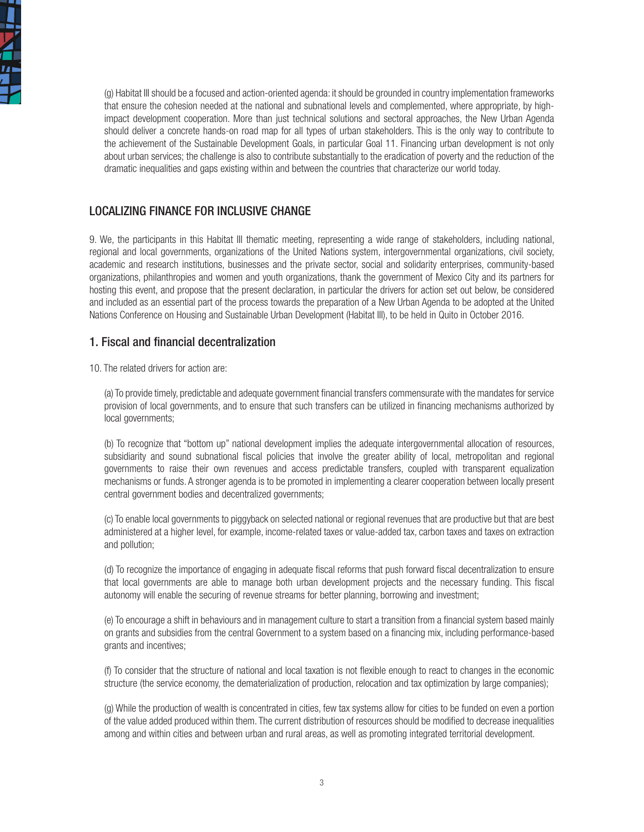

(g) Habitat III should be a focused and action-oriented agenda: it should be grounded in country implementation frameworks that ensure the cohesion needed at the national and subnational levels and complemented, where appropriate, by highimpact development cooperation. More than just technical solutions and sectoral approaches, the New Urban Agenda should deliver a concrete hands-on road map for all types of urban stakeholders. This is the only way to contribute to the achievement of the Sustainable Development Goals, in particular Goal 11. Financing urban development is not only about urban services; the challenge is also to contribute substantially to the eradication of poverty and the reduction of the dramatic inequalities and gaps existing within and between the countries that characterize our world today.

### LOCALIZING FINANCE FOR INCLUSIVE CHANGE

9. We, the participants in this Habitat III thematic meeting, representing a wide range of stakeholders, including national, regional and local governments, organizations of the United Nations system, intergovernmental organizations, civil society, academic and research institutions, businesses and the private sector, social and solidarity enterprises, community-based organizations, philanthropies and women and youth organizations, thank the government of Mexico City and its partners for hosting this event, and propose that the present declaration, in particular the drivers for action set out below, be considered and included as an essential part of the process towards the preparation of a New Urban Agenda to be adopted at the United Nations Conference on Housing and Sustainable Urban Development (Habitat III), to be held in Quito in October 2016.

## 1. Fiscal and financial decentralization

10. The related drivers for action are:

(a) To provide timely, predictable and adequate government financial transfers commensurate with the mandates for service provision of local governments, and to ensure that such transfers can be utilized in financing mechanisms authorized by local governments;

(b) To recognize that "bottom up" national development implies the adequate intergovernmental allocation of resources, subsidiarity and sound subnational fiscal policies that involve the greater ability of local, metropolitan and regional governments to raise their own revenues and access predictable transfers, coupled with transparent equalization mechanisms or funds. A stronger agenda is to be promoted in implementing a clearer cooperation between locally present central government bodies and decentralized governments;

(c) To enable local governments to piggyback on selected national or regional revenues that are productive but that are best administered at a higher level, for example, income-related taxes or value-added tax, carbon taxes and taxes on extraction and pollution;

(d) To recognize the importance of engaging in adequate fiscal reforms that push forward fiscal decentralization to ensure that local governments are able to manage both urban development projects and the necessary funding. This fiscal autonomy will enable the securing of revenue streams for better planning, borrowing and investment;

(e) To encourage a shift in behaviours and in management culture to start a transition from a financial system based mainly on grants and subsidies from the central Government to a system based on a financing mix, including performance-based grants and incentives;

(f) To consider that the structure of national and local taxation is not flexible enough to react to changes in the economic structure (the service economy, the dematerialization of production, relocation and tax optimization by large companies);

(g) While the production of wealth is concentrated in cities, few tax systems allow for cities to be funded on even a portion of the value added produced within them. The current distribution of resources should be modified to decrease inequalities among and within cities and between urban and rural areas, as well as promoting integrated territorial development.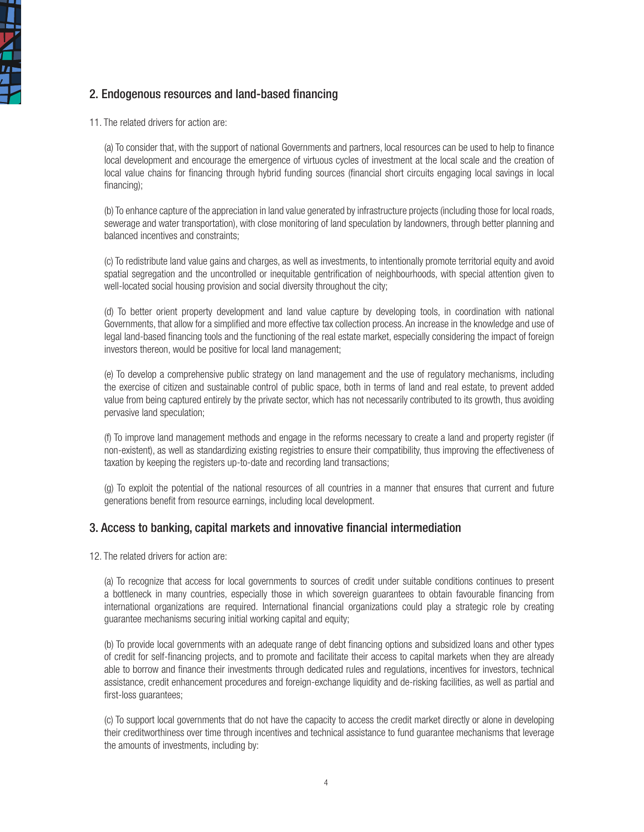

# 2. Endogenous resources and land-based financing

11. The related drivers for action are:

(a) To consider that, with the support of national Governments and partners, local resources can be used to help to finance local development and encourage the emergence of virtuous cycles of investment at the local scale and the creation of local value chains for financing through hybrid funding sources (financial short circuits engaging local savings in local financing);

(b) To enhance capture of the appreciation in land value generated by infrastructure projects (including those for local roads, sewerage and water transportation), with close monitoring of land speculation by landowners, through better planning and balanced incentives and constraints;

(c) To redistribute land value gains and charges, as well as investments, to intentionally promote territorial equity and avoid spatial segregation and the uncontrolled or inequitable gentrification of neighbourhoods, with special attention given to well-located social housing provision and social diversity throughout the city;

(d) To better orient property development and land value capture by developing tools, in coordination with national Governments, that allow for a simplified and more effective tax collection process. An increase in the knowledge and use of legal land-based financing tools and the functioning of the real estate market, especially considering the impact of foreign investors thereon, would be positive for local land management;

(e) To develop a comprehensive public strategy on land management and the use of regulatory mechanisms, including the exercise of citizen and sustainable control of public space, both in terms of land and real estate, to prevent added value from being captured entirely by the private sector, which has not necessarily contributed to its growth, thus avoiding pervasive land speculation;

(f) To improve land management methods and engage in the reforms necessary to create a land and property register (if non-existent), as well as standardizing existing registries to ensure their compatibility, thus improving the effectiveness of taxation by keeping the registers up-to-date and recording land transactions;

(g) To exploit the potential of the national resources of all countries in a manner that ensures that current and future generations benefit from resource earnings, including local development.

### 3. Access to banking, capital markets and innovative financial intermediation

12. The related drivers for action are:

(a) To recognize that access for local governments to sources of credit under suitable conditions continues to present a bottleneck in many countries, especially those in which sovereign guarantees to obtain favourable financing from international organizations are required. International financial organizations could play a strategic role by creating guarantee mechanisms securing initial working capital and equity;

(b) To provide local governments with an adequate range of debt financing options and subsidized loans and other types of credit for self-financing projects, and to promote and facilitate their access to capital markets when they are already able to borrow and finance their investments through dedicated rules and regulations, incentives for investors, technical assistance, credit enhancement procedures and foreign-exchange liquidity and de-risking facilities, as well as partial and first-loss guarantees;

(c) To support local governments that do not have the capacity to access the credit market directly or alone in developing their creditworthiness over time through incentives and technical assistance to fund guarantee mechanisms that leverage the amounts of investments, including by: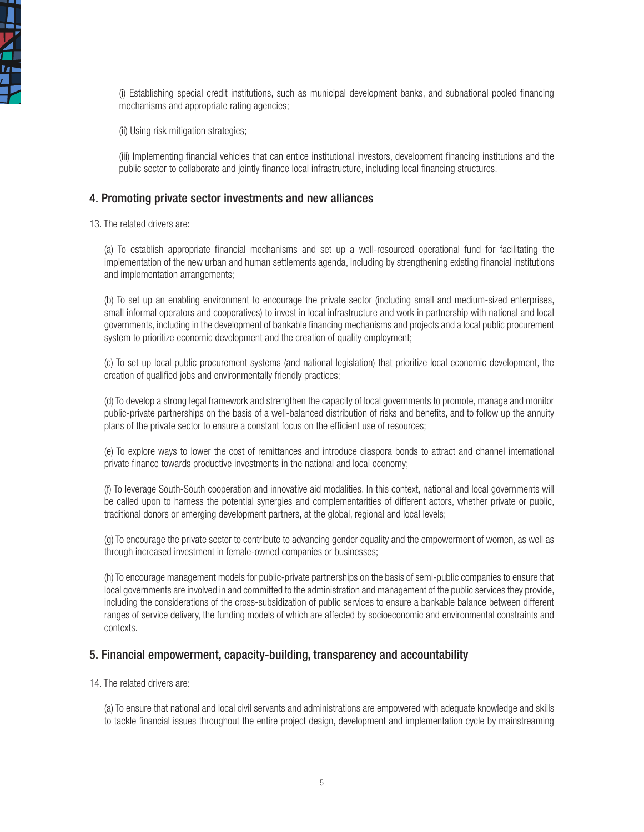

(i) Establishing special credit institutions, such as municipal development banks, and subnational pooled financing mechanisms and appropriate rating agencies;

(ii) Using risk mitigation strategies;

(iii) Implementing financial vehicles that can entice institutional investors, development financing institutions and the public sector to collaborate and jointly finance local infrastructure, including local financing structures.

#### 4. Promoting private sector investments and new alliances

13. The related drivers are:

(a) To establish appropriate financial mechanisms and set up a well-resourced operational fund for facilitating the implementation of the new urban and human settlements agenda, including by strengthening existing financial institutions and implementation arrangements;

(b) To set up an enabling environment to encourage the private sector (including small and medium-sized enterprises, small informal operators and cooperatives) to invest in local infrastructure and work in partnership with national and local governments, including in the development of bankable financing mechanisms and projects and a local public procurement system to prioritize economic development and the creation of quality employment;

(c) To set up local public procurement systems (and national legislation) that prioritize local economic development, the creation of qualified jobs and environmentally friendly practices;

(d) To develop a strong legal framework and strengthen the capacity of local governments to promote, manage and monitor public-private partnerships on the basis of a well-balanced distribution of risks and benefits, and to follow up the annuity plans of the private sector to ensure a constant focus on the efficient use of resources;

(e) To explore ways to lower the cost of remittances and introduce diaspora bonds to attract and channel international private finance towards productive investments in the national and local economy;

(f) To leverage South-South cooperation and innovative aid modalities. In this context, national and local governments will be called upon to harness the potential synergies and complementarities of different actors, whether private or public, traditional donors or emerging development partners, at the global, regional and local levels;

(g) To encourage the private sector to contribute to advancing gender equality and the empowerment of women, as well as through increased investment in female-owned companies or businesses;

(h) To encourage management models for public-private partnerships on the basis of semi-public companies to ensure that local governments are involved in and committed to the administration and management of the public services they provide, including the considerations of the cross-subsidization of public services to ensure a bankable balance between different ranges of service delivery, the funding models of which are affected by socioeconomic and environmental constraints and contexts.

#### 5. Financial empowerment, capacity-building, transparency and accountability

14. The related drivers are:

(a) To ensure that national and local civil servants and administrations are empowered with adequate knowledge and skills to tackle financial issues throughout the entire project design, development and implementation cycle by mainstreaming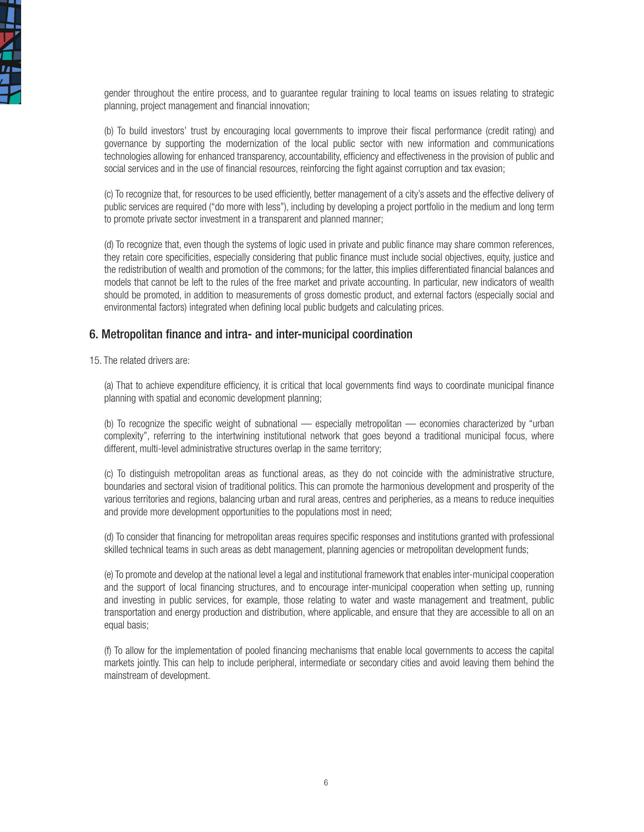

gender throughout the entire process, and to guarantee regular training to local teams on issues relating to strategic planning, project management and financial innovation;

(b) To build investors' trust by encouraging local governments to improve their fiscal performance (credit rating) and governance by supporting the modernization of the local public sector with new information and communications technologies allowing for enhanced transparency, accountability, efficiency and effectiveness in the provision of public and social services and in the use of financial resources, reinforcing the fight against corruption and tax evasion;

(c) To recognize that, for resources to be used efficiently, better management of a city's assets and the effective delivery of public services are required ("do more with less"), including by developing a project portfolio in the medium and long term to promote private sector investment in a transparent and planned manner;

(d) To recognize that, even though the systems of logic used in private and public finance may share common references, they retain core specificities, especially considering that public finance must include social objectives, equity, justice and the redistribution of wealth and promotion of the commons; for the latter, this implies differentiated financial balances and models that cannot be left to the rules of the free market and private accounting. In particular, new indicators of wealth should be promoted, in addition to measurements of gross domestic product, and external factors (especially social and environmental factors) integrated when defining local public budgets and calculating prices.

#### 6. Metropolitan finance and intra- and inter-municipal coordination

15. The related drivers are:

(a) That to achieve expenditure efficiency, it is critical that local governments find ways to coordinate municipal finance planning with spatial and economic development planning;

(b) To recognize the specific weight of subnational — especially metropolitan — economies characterized by "urban complexity", referring to the intertwining institutional network that goes beyond a traditional municipal focus, where different, multi-level administrative structures overlap in the same territory;

(c) To distinguish metropolitan areas as functional areas, as they do not coincide with the administrative structure, boundaries and sectoral vision of traditional politics. This can promote the harmonious development and prosperity of the various territories and regions, balancing urban and rural areas, centres and peripheries, as a means to reduce inequities and provide more development opportunities to the populations most in need;

(d) To consider that financing for metropolitan areas requires specific responses and institutions granted with professional skilled technical teams in such areas as debt management, planning agencies or metropolitan development funds;

(e) To promote and develop at the national level a legal and institutional framework that enables inter-municipal cooperation and the support of local financing structures, and to encourage inter-municipal cooperation when setting up, running and investing in public services, for example, those relating to water and waste management and treatment, public transportation and energy production and distribution, where applicable, and ensure that they are accessible to all on an equal basis;

(f) To allow for the implementation of pooled financing mechanisms that enable local governments to access the capital markets jointly. This can help to include peripheral, intermediate or secondary cities and avoid leaving them behind the mainstream of development.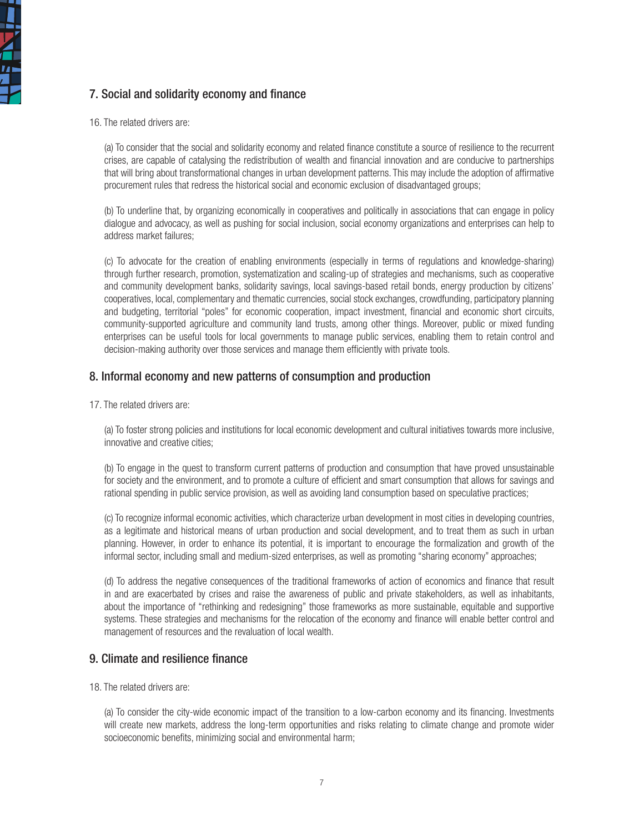

# 7. Social and solidarity economy and finance

16. The related drivers are:

(a) To consider that the social and solidarity economy and related finance constitute a source of resilience to the recurrent crises, are capable of catalysing the redistribution of wealth and financial innovation and are conducive to partnerships that will bring about transformational changes in urban development patterns. This may include the adoption of affirmative procurement rules that redress the historical social and economic exclusion of disadvantaged groups;

(b) To underline that, by organizing economically in cooperatives and politically in associations that can engage in policy dialogue and advocacy, as well as pushing for social inclusion, social economy organizations and enterprises can help to address market failures;

(c) To advocate for the creation of enabling environments (especially in terms of regulations and knowledge-sharing) through further research, promotion, systematization and scaling-up of strategies and mechanisms, such as cooperative and community development banks, solidarity savings, local savings-based retail bonds, energy production by citizens' cooperatives, local, complementary and thematic currencies, social stock exchanges, crowdfunding, participatory planning and budgeting, territorial "poles" for economic cooperation, impact investment, financial and economic short circuits, community-supported agriculture and community land trusts, among other things. Moreover, public or mixed funding enterprises can be useful tools for local governments to manage public services, enabling them to retain control and decision-making authority over those services and manage them efficiently with private tools.

### 8. Informal economy and new patterns of consumption and production

17. The related drivers are:

(a) To foster strong policies and institutions for local economic development and cultural initiatives towards more inclusive, innovative and creative cities;

(b) To engage in the quest to transform current patterns of production and consumption that have proved unsustainable for society and the environment, and to promote a culture of efficient and smart consumption that allows for savings and rational spending in public service provision, as well as avoiding land consumption based on speculative practices;

(c) To recognize informal economic activities, which characterize urban development in most cities in developing countries, as a legitimate and historical means of urban production and social development, and to treat them as such in urban planning. However, in order to enhance its potential, it is important to encourage the formalization and growth of the informal sector, including small and medium-sized enterprises, as well as promoting "sharing economy" approaches;

(d) To address the negative consequences of the traditional frameworks of action of economics and finance that result in and are exacerbated by crises and raise the awareness of public and private stakeholders, as well as inhabitants, about the importance of "rethinking and redesigning" those frameworks as more sustainable, equitable and supportive systems. These strategies and mechanisms for the relocation of the economy and finance will enable better control and management of resources and the revaluation of local wealth.

#### 9. Climate and resilience finance

18. The related drivers are:

(a) To consider the city-wide economic impact of the transition to a low-carbon economy and its financing. Investments will create new markets, address the long-term opportunities and risks relating to climate change and promote wider socioeconomic benefits, minimizing social and environmental harm;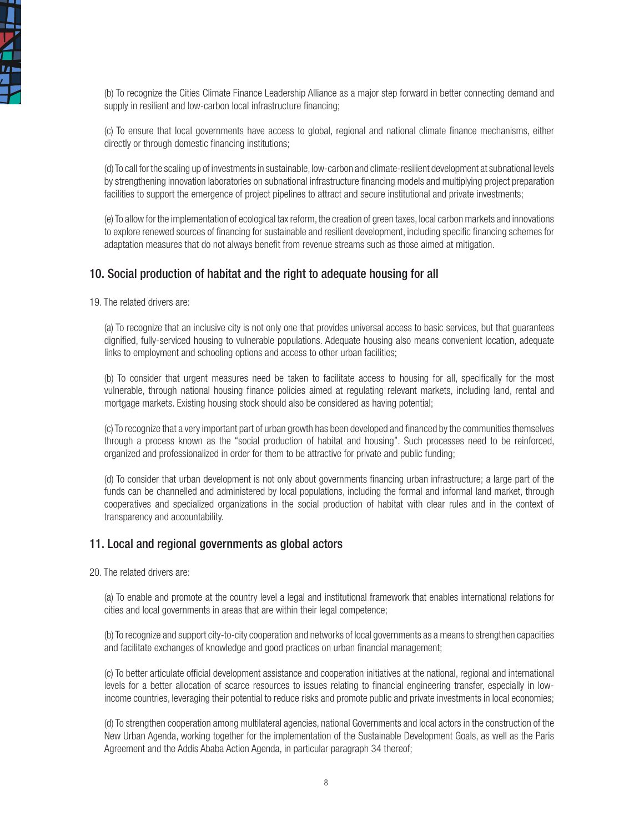

(b) To recognize the Cities Climate Finance Leadership Alliance as a major step forward in better connecting demand and supply in resilient and low-carbon local infrastructure financing:

(c) To ensure that local governments have access to global, regional and national climate finance mechanisms, either directly or through domestic financing institutions;

(d) To call for the scaling up of investments in sustainable, low-carbon and climate-resilient development at subnational levels by strengthening innovation laboratories on subnational infrastructure financing models and multiplying project preparation facilities to support the emergence of project pipelines to attract and secure institutional and private investments;

(e) To allow for the implementation of ecological tax reform, the creation of green taxes, local carbon markets and innovations to explore renewed sources of financing for sustainable and resilient development, including specific financing schemes for adaptation measures that do not always benefit from revenue streams such as those aimed at mitigation.

#### 10. Social production of habitat and the right to adequate housing for all

19. The related drivers are:

(a) To recognize that an inclusive city is not only one that provides universal access to basic services, but that guarantees dignified, fully-serviced housing to vulnerable populations. Adequate housing also means convenient location, adequate links to employment and schooling options and access to other urban facilities;

(b) To consider that urgent measures need be taken to facilitate access to housing for all, specifically for the most vulnerable, through national housing finance policies aimed at regulating relevant markets, including land, rental and mortgage markets. Existing housing stock should also be considered as having potential;

(c) To recognize that a very important part of urban growth has been developed and financed by the communities themselves through a process known as the "social production of habitat and housing". Such processes need to be reinforced, organized and professionalized in order for them to be attractive for private and public funding;

(d) To consider that urban development is not only about governments financing urban infrastructure; a large part of the funds can be channelled and administered by local populations, including the formal and informal land market, through cooperatives and specialized organizations in the social production of habitat with clear rules and in the context of transparency and accountability.

#### 11. Local and regional governments as global actors

20. The related drivers are:

(a) To enable and promote at the country level a legal and institutional framework that enables international relations for cities and local governments in areas that are within their legal competence;

(b) To recognize and support city-to-city cooperation and networks of local governments as a means to strengthen capacities and facilitate exchanges of knowledge and good practices on urban financial management;

(c) To better articulate official development assistance and cooperation initiatives at the national, regional and international levels for a better allocation of scarce resources to issues relating to financial engineering transfer, especially in lowincome countries, leveraging their potential to reduce risks and promote public and private investments in local economies;

(d) To strengthen cooperation among multilateral agencies, national Governments and local actors in the construction of the New Urban Agenda, working together for the implementation of the Sustainable Development Goals, as well as the Paris Agreement and the Addis Ababa Action Agenda, in particular paragraph 34 thereof;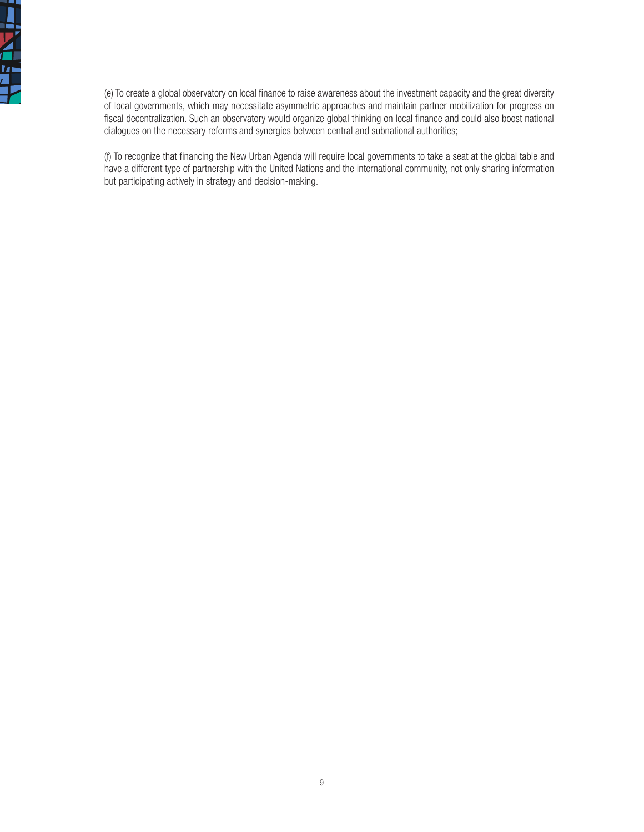

(e) To create a global observatory on local finance to raise awareness about the investment capacity and the great diversity of local governments, which may necessitate asymmetric approaches and maintain partner mobilization for progress on fiscal decentralization. Such an observatory would organize global thinking on local finance and could also boost national dialogues on the necessary reforms and synergies between central and subnational authorities;

(f) To recognize that financing the New Urban Agenda will require local governments to take a seat at the global table and have a different type of partnership with the United Nations and the international community, not only sharing information but participating actively in strategy and decision-making.